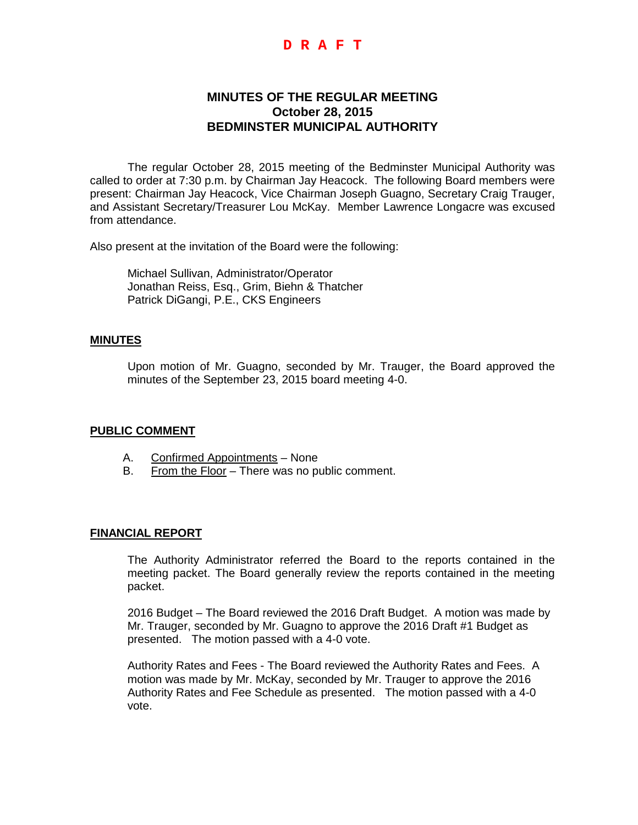## **D R A F T**

# **MINUTES OF THE REGULAR MEETING October 28, 2015 BEDMINSTER MUNICIPAL AUTHORITY**

The regular October 28, 2015 meeting of the Bedminster Municipal Authority was called to order at 7:30 p.m. by Chairman Jay Heacock. The following Board members were present: Chairman Jay Heacock, Vice Chairman Joseph Guagno, Secretary Craig Trauger, and Assistant Secretary/Treasurer Lou McKay. Member Lawrence Longacre was excused from attendance.

Also present at the invitation of the Board were the following:

Michael Sullivan, Administrator/Operator Jonathan Reiss, Esq., Grim, Biehn & Thatcher Patrick DiGangi, P.E., CKS Engineers

#### **MINUTES**

Upon motion of Mr. Guagno, seconded by Mr. Trauger, the Board approved the minutes of the September 23, 2015 board meeting 4-0.

#### **PUBLIC COMMENT**

- A. Confirmed Appointments None
- B. From the Floor There was no public comment.

#### **FINANCIAL REPORT**

The Authority Administrator referred the Board to the reports contained in the meeting packet. The Board generally review the reports contained in the meeting packet.

2016 Budget – The Board reviewed the 2016 Draft Budget. A motion was made by Mr. Trauger, seconded by Mr. Guagno to approve the 2016 Draft #1 Budget as presented. The motion passed with a 4-0 vote.

Authority Rates and Fees - The Board reviewed the Authority Rates and Fees. A motion was made by Mr. McKay, seconded by Mr. Trauger to approve the 2016 Authority Rates and Fee Schedule as presented. The motion passed with a 4-0 vote.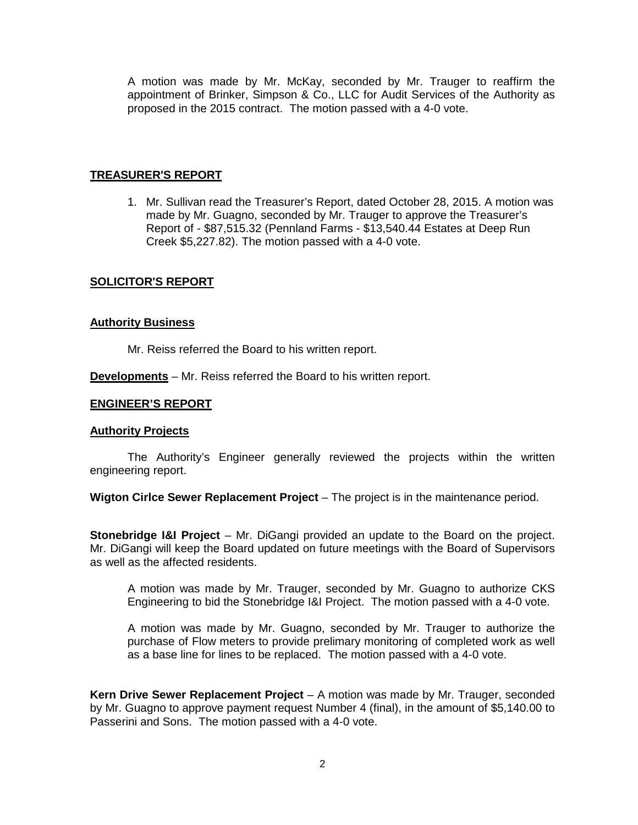A motion was made by Mr. McKay, seconded by Mr. Trauger to reaffirm the appointment of Brinker, Simpson & Co., LLC for Audit Services of the Authority as proposed in the 2015 contract. The motion passed with a 4-0 vote.

### **TREASURER'S REPORT**

1. Mr. Sullivan read the Treasurer's Report, dated October 28, 2015. A motion was made by Mr. Guagno, seconded by Mr. Trauger to approve the Treasurer's Report of - \$87,515.32 (Pennland Farms - \$13,540.44 Estates at Deep Run Creek \$5,227.82). The motion passed with a 4-0 vote.

## **SOLICITOR'S REPORT**

#### **Authority Business**

Mr. Reiss referred the Board to his written report.

**Developments** – Mr. Reiss referred the Board to his written report.

## **ENGINEER'S REPORT**

#### **Authority Projects**

The Authority's Engineer generally reviewed the projects within the written engineering report.

**Wigton Cirlce Sewer Replacement Project** – The project is in the maintenance period.

**Stonebridge I&I Project** – Mr. DiGangi provided an update to the Board on the project. Mr. DiGangi will keep the Board updated on future meetings with the Board of Supervisors as well as the affected residents.

A motion was made by Mr. Trauger, seconded by Mr. Guagno to authorize CKS Engineering to bid the Stonebridge I&I Project. The motion passed with a 4-0 vote.

A motion was made by Mr. Guagno, seconded by Mr. Trauger to authorize the purchase of Flow meters to provide prelimary monitoring of completed work as well as a base line for lines to be replaced. The motion passed with a 4-0 vote.

**Kern Drive Sewer Replacement Project** – A motion was made by Mr. Trauger, seconded by Mr. Guagno to approve payment request Number 4 (final), in the amount of \$5,140.00 to Passerini and Sons. The motion passed with a 4-0 vote.